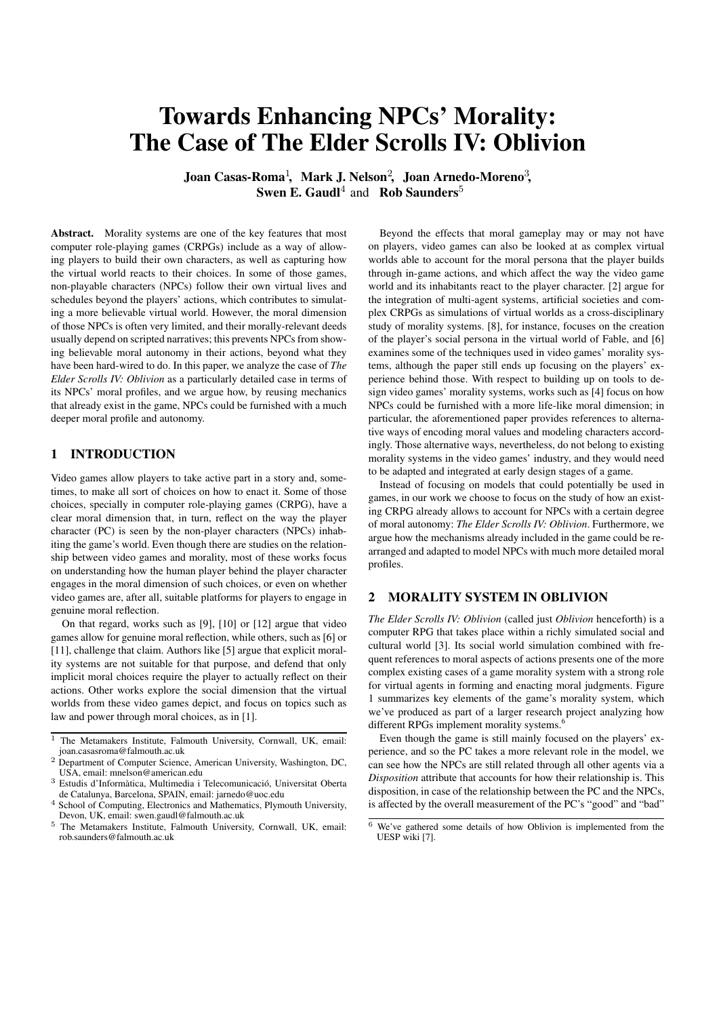# Towards Enhancing NPCs' Morality: The Case of The Elder Scrolls IV: Oblivion

Joan Casas-Roma $^1\!,\,$  Mark J. Nelson $^2\!,\,$  Joan Arnedo-Moreno $^3\!,\,$ **Swen E. Gaudl**<sup>4</sup> and **Rob Saunders**<sup>5</sup>

Abstract. Morality systems are one of the key features that most computer role-playing games (CRPGs) include as a way of allowing players to build their own characters, as well as capturing how the virtual world reacts to their choices. In some of those games, non-playable characters (NPCs) follow their own virtual lives and schedules beyond the players' actions, which contributes to simulating a more believable virtual world. However, the moral dimension of those NPCs is often very limited, and their morally-relevant deeds usually depend on scripted narratives; this prevents NPCs from showing believable moral autonomy in their actions, beyond what they have been hard-wired to do. In this paper, we analyze the case of *The Elder Scrolls IV: Oblivion* as a particularly detailed case in terms of its NPCs' moral profiles, and we argue how, by reusing mechanics that already exist in the game, NPCs could be furnished with a much deeper moral profile and autonomy.

## 1 INTRODUCTION

Video games allow players to take active part in a story and, sometimes, to make all sort of choices on how to enact it. Some of those choices, specially in computer role-playing games (CRPG), have a clear moral dimension that, in turn, reflect on the way the player character (PC) is seen by the non-player characters (NPCs) inhabiting the game's world. Even though there are studies on the relationship between video games and morality, most of these works focus on understanding how the human player behind the player character engages in the moral dimension of such choices, or even on whether video games are, after all, suitable platforms for players to engage in genuine moral reflection.

On that regard, works such as [9], [10] or [12] argue that video games allow for genuine moral reflection, while others, such as [6] or [11], challenge that claim. Authors like [5] argue that explicit morality systems are not suitable for that purpose, and defend that only implicit moral choices require the player to actually reflect on their actions. Other works explore the social dimension that the virtual worlds from these video games depict, and focus on topics such as law and power through moral choices, as in [1].

Beyond the effects that moral gameplay may or may not have on players, video games can also be looked at as complex virtual worlds able to account for the moral persona that the player builds through in-game actions, and which affect the way the video game world and its inhabitants react to the player character. [2] argue for the integration of multi-agent systems, artificial societies and complex CRPGs as simulations of virtual worlds as a cross-disciplinary study of morality systems. [8], for instance, focuses on the creation of the player's social persona in the virtual world of Fable, and [6] examines some of the techniques used in video games' morality systems, although the paper still ends up focusing on the players' experience behind those. With respect to building up on tools to design video games' morality systems, works such as [4] focus on how NPCs could be furnished with a more life-like moral dimension; in particular, the aforementioned paper provides references to alternative ways of encoding moral values and modeling characters accordingly. Those alternative ways, nevertheless, do not belong to existing morality systems in the video games' industry, and they would need to be adapted and integrated at early design stages of a game.

Instead of focusing on models that could potentially be used in games, in our work we choose to focus on the study of how an existing CRPG already allows to account for NPCs with a certain degree of moral autonomy: *The Elder Scrolls IV: Oblivion*. Furthermore, we argue how the mechanisms already included in the game could be rearranged and adapted to model NPCs with much more detailed moral profiles.

## 2 MORALITY SYSTEM IN OBLIVION

*The Elder Scrolls IV: Oblivion* (called just *Oblivion* henceforth) is a computer RPG that takes place within a richly simulated social and cultural world [3]. Its social world simulation combined with frequent references to moral aspects of actions presents one of the more complex existing cases of a game morality system with a strong role for virtual agents in forming and enacting moral judgments. Figure 1 summarizes key elements of the game's morality system, which we've produced as part of a larger research project analyzing how different RPGs implement morality systems.<sup>4</sup>

Even though the game is still mainly focused on the players' experience, and so the PC takes a more relevant role in the model, we can see how the NPCs are still related through all other agents via a *Disposition* attribute that accounts for how their relationship is. This disposition, in case of the relationship between the PC and the NPCs, is affected by the overall measurement of the PC's "good" and "bad"

<sup>&</sup>lt;sup>1</sup> The Metamakers Institute, Falmouth University, Cornwall, UK, email: joan.casasroma@falmouth.ac.uk

<sup>&</sup>lt;sup>2</sup> Department of Computer Science, American University, Washington, DC, USA, email: mnelson@american.edu

 $3$  Estudis d'Informàtica, Multimedia i Telecomunicació, Universitat Oberta de Catalunya, Barcelona, SPAIN, email: jarnedo@uoc.edu

<sup>4</sup> School of Computing, Electronics and Mathematics, Plymouth University, Devon, UK, email: swen.gaudl@falmouth.ac.uk

<sup>5</sup> The Metamakers Institute, Falmouth University, Cornwall, UK, email: rob.saunders@falmouth.ac.uk

 $\overline{6}$  We've gathered some details of how Oblivion is implemented from the UESP wiki [7].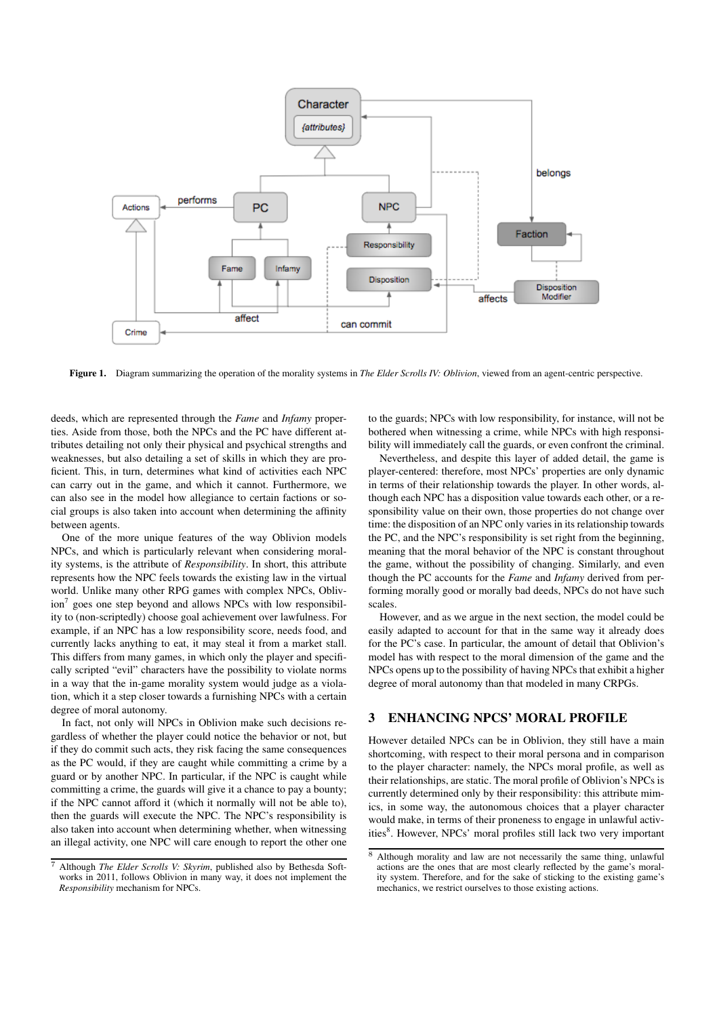

Figure 1. Diagram summarizing the operation of the morality systems in *The Elder Scrolls IV: Oblivion*, viewed from an agent-centric perspective.

deeds, which are represented through the *Fame* and *Infamy* properties. Aside from those, both the NPCs and the PC have different attributes detailing not only their physical and psychical strengths and weaknesses, but also detailing a set of skills in which they are proficient. This, in turn, determines what kind of activities each NPC can carry out in the game, and which it cannot. Furthermore, we can also see in the model how allegiance to certain factions or social groups is also taken into account when determining the affinity between agents.

One of the more unique features of the way Oblivion models NPCs, and which is particularly relevant when considering morality systems, is the attribute of *Responsibility*. In short, this attribute represents how the NPC feels towards the existing law in the virtual world. Unlike many other RPG games with complex NPCs, Oblivion<sup>7</sup> goes one step beyond and allows NPCs with low responsibility to (non-scriptedly) choose goal achievement over lawfulness. For example, if an NPC has a low responsibility score, needs food, and currently lacks anything to eat, it may steal it from a market stall. This differs from many games, in which only the player and specifically scripted "evil" characters have the possibility to violate norms in a way that the in-game morality system would judge as a violation, which it a step closer towards a furnishing NPCs with a certain degree of moral autonomy.

In fact, not only will NPCs in Oblivion make such decisions regardless of whether the player could notice the behavior or not, but if they do commit such acts, they risk facing the same consequences as the PC would, if they are caught while committing a crime by a guard or by another NPC. In particular, if the NPC is caught while committing a crime, the guards will give it a chance to pay a bounty; if the NPC cannot afford it (which it normally will not be able to), then the guards will execute the NPC. The NPC's responsibility is also taken into account when determining whether, when witnessing an illegal activity, one NPC will care enough to report the other one

to the guards; NPCs with low responsibility, for instance, will not be bothered when witnessing a crime, while NPCs with high responsibility will immediately call the guards, or even confront the criminal.

Nevertheless, and despite this layer of added detail, the game is player-centered: therefore, most NPCs' properties are only dynamic in terms of their relationship towards the player. In other words, although each NPC has a disposition value towards each other, or a responsibility value on their own, those properties do not change over time: the disposition of an NPC only varies in its relationship towards the PC, and the NPC's responsibility is set right from the beginning, meaning that the moral behavior of the NPC is constant throughout the game, without the possibility of changing. Similarly, and even though the PC accounts for the *Fame* and *Infamy* derived from performing morally good or morally bad deeds, NPCs do not have such scales.

However, and as we argue in the next section, the model could be easily adapted to account for that in the same way it already does for the PC's case. In particular, the amount of detail that Oblivion's model has with respect to the moral dimension of the game and the NPCs opens up to the possibility of having NPCs that exhibit a higher degree of moral autonomy than that modeled in many CRPGs.

#### 3 ENHANCING NPCS' MORAL PROFILE

However detailed NPCs can be in Oblivion, they still have a main shortcoming, with respect to their moral persona and in comparison to the player character: namely, the NPCs moral profile, as well as their relationships, are static. The moral profile of Oblivion's NPCs is currently determined only by their responsibility: this attribute mimics, in some way, the autonomous choices that a player character would make, in terms of their proneness to engage in unlawful activities<sup>8</sup>. However, NPCs' moral profiles still lack two very important

<sup>7</sup> Although *The Elder Scrolls V: Skyrim*, published also by Bethesda Softworks in 2011, follows Oblivion in many way, it does not implement the *Responsibility* mechanism for NPCs.

<sup>&</sup>lt;sup>8</sup> Although morality and law are not necessarily the same thing, unlawful actions are the ones that are most clearly reflected by the game's morality system. Therefore, and for the sake of sticking to the existing game's mechanics, we restrict ourselves to those existing actions.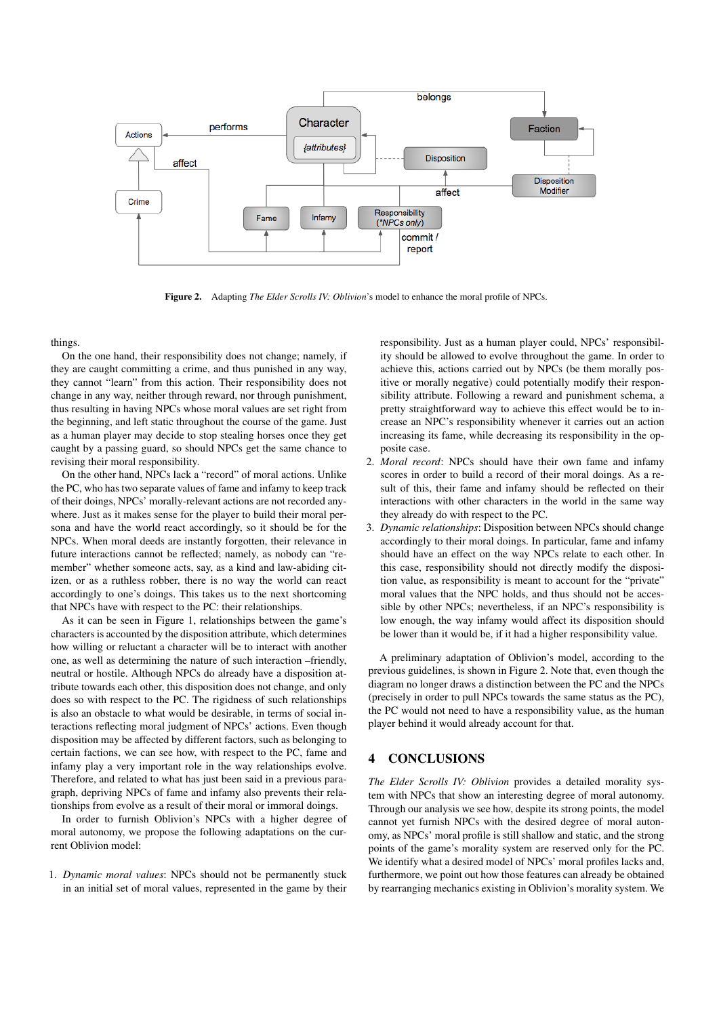

Figure 2. Adapting *The Elder Scrolls IV: Oblivion*'s model to enhance the moral profile of NPCs.

things.

On the one hand, their responsibility does not change; namely, if they are caught committing a crime, and thus punished in any way, they cannot "learn" from this action. Their responsibility does not change in any way, neither through reward, nor through punishment, thus resulting in having NPCs whose moral values are set right from the beginning, and left static throughout the course of the game. Just as a human player may decide to stop stealing horses once they get caught by a passing guard, so should NPCs get the same chance to revising their moral responsibility.

On the other hand, NPCs lack a "record" of moral actions. Unlike the PC, who has two separate values of fame and infamy to keep track of their doings, NPCs' morally-relevant actions are not recorded anywhere. Just as it makes sense for the player to build their moral persona and have the world react accordingly, so it should be for the NPCs. When moral deeds are instantly forgotten, their relevance in future interactions cannot be reflected; namely, as nobody can "remember" whether someone acts, say, as a kind and law-abiding citizen, or as a ruthless robber, there is no way the world can react accordingly to one's doings. This takes us to the next shortcoming that NPCs have with respect to the PC: their relationships.

As it can be seen in Figure 1, relationships between the game's characters is accounted by the disposition attribute, which determines how willing or reluctant a character will be to interact with another one, as well as determining the nature of such interaction –friendly, neutral or hostile. Although NPCs do already have a disposition attribute towards each other, this disposition does not change, and only does so with respect to the PC. The rigidness of such relationships is also an obstacle to what would be desirable, in terms of social interactions reflecting moral judgment of NPCs' actions. Even though disposition may be affected by different factors, such as belonging to certain factions, we can see how, with respect to the PC, fame and infamy play a very important role in the way relationships evolve. Therefore, and related to what has just been said in a previous paragraph, depriving NPCs of fame and infamy also prevents their relationships from evolve as a result of their moral or immoral doings.

In order to furnish Oblivion's NPCs with a higher degree of moral autonomy, we propose the following adaptations on the current Oblivion model:

1. *Dynamic moral values*: NPCs should not be permanently stuck in an initial set of moral values, represented in the game by their responsibility. Just as a human player could, NPCs' responsibility should be allowed to evolve throughout the game. In order to achieve this, actions carried out by NPCs (be them morally positive or morally negative) could potentially modify their responsibility attribute. Following a reward and punishment schema, a pretty straightforward way to achieve this effect would be to increase an NPC's responsibility whenever it carries out an action increasing its fame, while decreasing its responsibility in the opposite case.

- 2. *Moral record*: NPCs should have their own fame and infamy scores in order to build a record of their moral doings. As a result of this, their fame and infamy should be reflected on their interactions with other characters in the world in the same way they already do with respect to the PC.
- 3. *Dynamic relationships*: Disposition between NPCs should change accordingly to their moral doings. In particular, fame and infamy should have an effect on the way NPCs relate to each other. In this case, responsibility should not directly modify the disposition value, as responsibility is meant to account for the "private" moral values that the NPC holds, and thus should not be accessible by other NPCs; nevertheless, if an NPC's responsibility is low enough, the way infamy would affect its disposition should be lower than it would be, if it had a higher responsibility value.

A preliminary adaptation of Oblivion's model, according to the previous guidelines, is shown in Figure 2. Note that, even though the diagram no longer draws a distinction between the PC and the NPCs (precisely in order to pull NPCs towards the same status as the PC), the PC would not need to have a responsibility value, as the human player behind it would already account for that.

### 4 CONCLUSIONS

*The Elder Scrolls IV: Oblivion* provides a detailed morality system with NPCs that show an interesting degree of moral autonomy. Through our analysis we see how, despite its strong points, the model cannot yet furnish NPCs with the desired degree of moral autonomy, as NPCs' moral profile is still shallow and static, and the strong points of the game's morality system are reserved only for the PC. We identify what a desired model of NPCs' moral profiles lacks and, furthermore, we point out how those features can already be obtained by rearranging mechanics existing in Oblivion's morality system. We